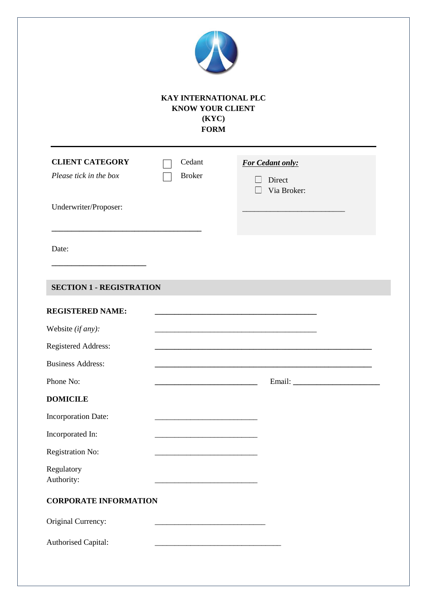| <b>KAY INTERNATIONAL PLC</b><br><b>KNOW YOUR CLIENT</b><br>(KYC)<br><b>FORM</b>                              |                                                                                                                       |                                                   |  |
|--------------------------------------------------------------------------------------------------------------|-----------------------------------------------------------------------------------------------------------------------|---------------------------------------------------|--|
| <b>CLIENT CATEGORY</b><br>Please tick in the box                                                             | Cedant<br><b>Broker</b>                                                                                               | <b>For Cedant only:</b><br>Direct<br>$\mathbf{L}$ |  |
| Underwriter/Proposer:                                                                                        |                                                                                                                       | Via Broker:<br>$\Box$                             |  |
| Date:                                                                                                        |                                                                                                                       |                                                   |  |
| <b>SECTION 1 - REGISTRATION</b>                                                                              |                                                                                                                       |                                                   |  |
|                                                                                                              |                                                                                                                       |                                                   |  |
| <b>REGISTERED NAME:</b><br>Website (if any):<br>Registered Address:<br><b>Business Address:</b><br>Phone No: | <u> 1989 - Johann John Stone, meil in der Stone aus der Stone aus der Stone aus der Stone aus der Stone aus der S</u> |                                                   |  |
| <b>DOMICILE</b><br>Incorporation Date:                                                                       |                                                                                                                       |                                                   |  |
|                                                                                                              |                                                                                                                       |                                                   |  |
|                                                                                                              |                                                                                                                       |                                                   |  |
| Incorporated In:<br>Registration No:<br>Regulatory<br>Authority:                                             |                                                                                                                       |                                                   |  |
| <b>CORPORATE INFORMATION</b>                                                                                 |                                                                                                                       |                                                   |  |
| Original Currency:                                                                                           |                                                                                                                       |                                                   |  |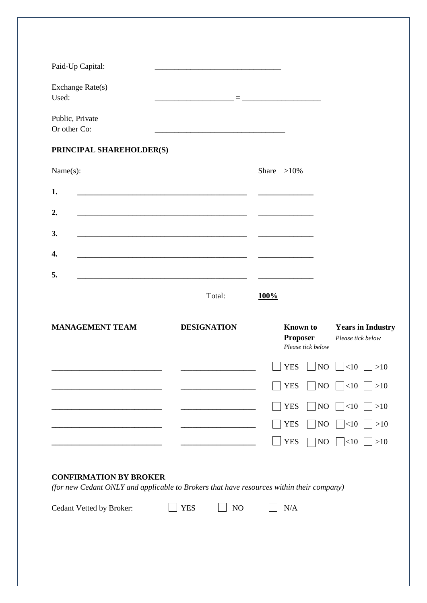| Paid-Up Capital:                |                                                                                                                      |                                                         |                                               |
|---------------------------------|----------------------------------------------------------------------------------------------------------------------|---------------------------------------------------------|-----------------------------------------------|
| Exchange Rate(s)<br>Used:       |                                                                                                                      | <b>Experience of the Community</b>                      |                                               |
| Public, Private<br>Or other Co: | <u> 1989 - Johann Stoff, Amerikaansk politiker (</u>                                                                 |                                                         |                                               |
| PRINCIPAL SHAREHOLDER(S)        |                                                                                                                      |                                                         |                                               |
| Name(s):                        |                                                                                                                      | Share $>10\%$                                           |                                               |
| 1.                              |                                                                                                                      |                                                         |                                               |
| 2.                              |                                                                                                                      |                                                         |                                               |
| 3.                              | <u> 1980 - John Stein, mars and de final and de final and de final and de final and de final and de final and de</u> |                                                         |                                               |
| 4.                              |                                                                                                                      |                                                         |                                               |
| 5.                              |                                                                                                                      |                                                         |                                               |
|                                 | Total:                                                                                                               | 100%                                                    |                                               |
| <b>MANAGEMENT TEAM</b>          | <b>DESIGNATION</b>                                                                                                   | <b>Known</b> to<br><b>Proposer</b><br>Please tick below | <b>Years in Industry</b><br>Please tick below |
|                                 |                                                                                                                      | <b>YES</b>                                              | $\vert$ NO $\vert$ <10 $\vert$ >10            |
|                                 |                                                                                                                      | <b>YES</b>                                              | $\Box$ NO $\Box$ <10 $\Box$ >10               |
|                                 |                                                                                                                      | <b>YES</b>                                              | NO   $ <10$   $ >10$                          |
|                                 |                                                                                                                      | <b>YES</b>                                              | NO   $ <10$   $ >10$                          |
|                                 |                                                                                                                      | <b>YES</b>                                              | NO $\Box$ <10 $\Box$ >10                      |
| <b>CONFIRMATION BY BROKER</b>   |                                                                                                                      |                                                         |                                               |

*(for new Cedant ONLY and applicable to Brokers that have resources within their company)*

Cedant Vetted by Broker:  $\Box$  YES  $\Box$  NO  $\Box$  N/A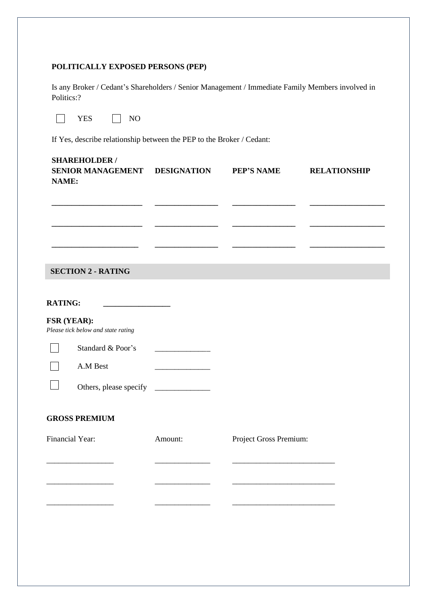### **POLITICALLY EXPOSED PERSONS (PEP)**

Is any Broker / Cedant's Shareholders / Senior Management / Immediate Family Members involved in Politics:?

| $\sim$<br>$-$ |  |
|---------------|--|
|---------------|--|

If Yes, describe relationship between the PEP to the Broker / Cedant:

| <b>SHAREHOLDER /</b><br>SENIOR MANAGEMENT DESIGNATION<br>NAME:       |         | <b>PEP'S NAME</b>      | <b>RELATIONSHIP</b> |
|----------------------------------------------------------------------|---------|------------------------|---------------------|
|                                                                      |         |                        |                     |
|                                                                      |         |                        |                     |
| <b>SECTION 2 - RATING</b>                                            |         |                        |                     |
| <b>RATING:</b><br><u> 1989 - Johann Barbara, martin amerikan per</u> |         |                        |                     |
| FSR (YEAR):<br>Please tick below and state rating                    |         |                        |                     |
| Standard & Poor's                                                    |         |                        |                     |
| A.M Best                                                             |         |                        |                     |
|                                                                      |         |                        |                     |
| <b>GROSS PREMIUM</b>                                                 |         |                        |                     |
| Financial Year:                                                      | Amount: | Project Gross Premium: |                     |
|                                                                      |         |                        |                     |
|                                                                      |         |                        |                     |
|                                                                      |         |                        |                     |
|                                                                      |         |                        |                     |
|                                                                      |         |                        |                     |
|                                                                      |         |                        |                     |